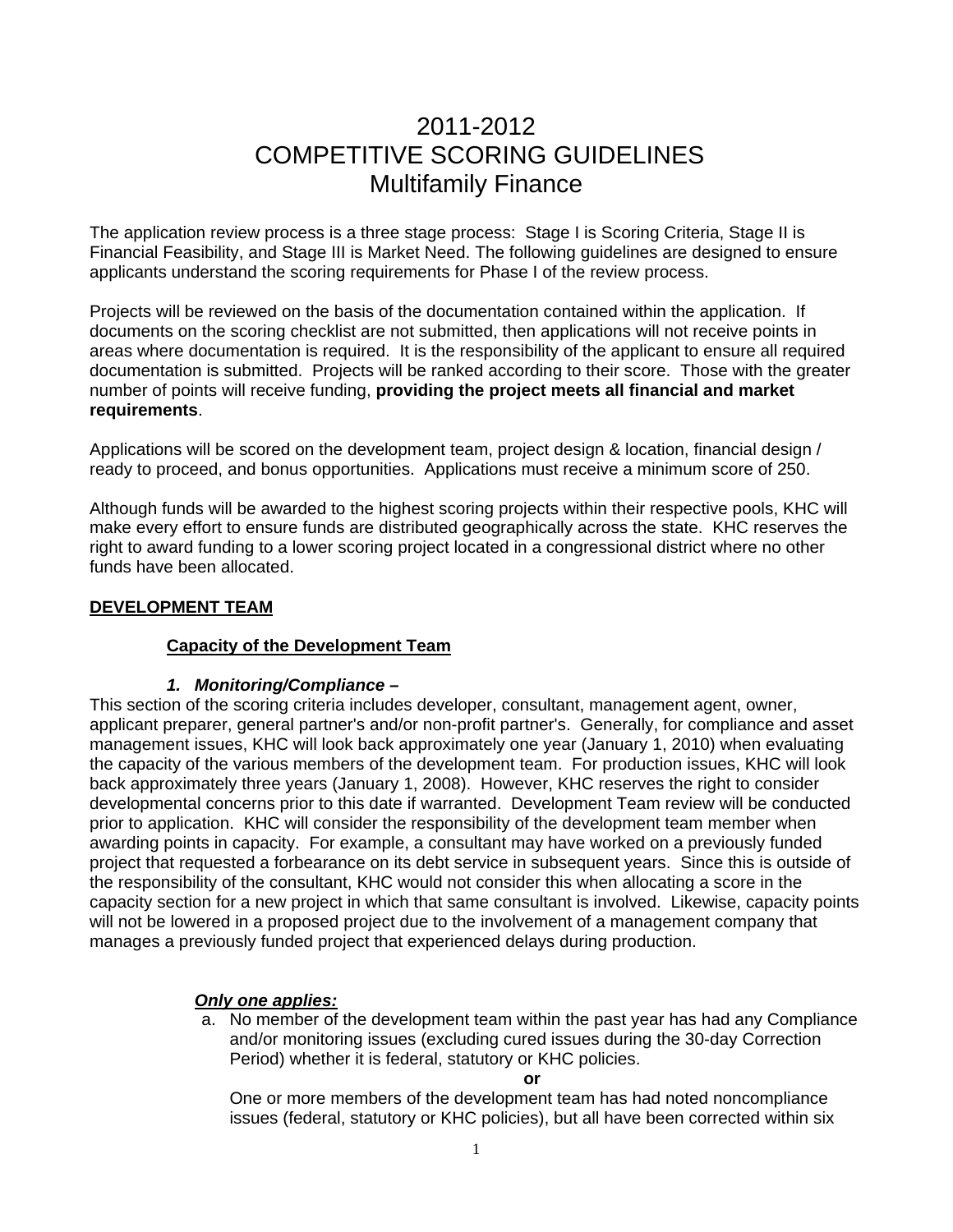# 2011-2012 COMPETITIVE SCORING GUIDELINES Multifamily Finance

The application review process is a three stage process: Stage I is Scoring Criteria, Stage II is Financial Feasibility, and Stage III is Market Need. The following guidelines are designed to ensure applicants understand the scoring requirements for Phase I of the review process.

Projects will be reviewed on the basis of the documentation contained within the application. If documents on the scoring checklist are not submitted, then applications will not receive points in areas where documentation is required. It is the responsibility of the applicant to ensure all required documentation is submitted. Projects will be ranked according to their score. Those with the greater number of points will receive funding, **providing the project meets all financial and market requirements**.

Applications will be scored on the development team, project design & location, financial design / ready to proceed, and bonus opportunities. Applications must receive a minimum score of 250.

Although funds will be awarded to the highest scoring projects within their respective pools, KHC will make every effort to ensure funds are distributed geographically across the state. KHC reserves the right to award funding to a lower scoring project located in a congressional district where no other funds have been allocated.

### **DEVELOPMENT TEAM**

### **Capacity of the Development Team**

### *1. Monitoring/Compliance –*

This section of the scoring criteria includes developer, consultant, management agent, owner, applicant preparer, general partner's and/or non-profit partner's. Generally, for compliance and asset management issues, KHC will look back approximately one year (January 1, 2010) when evaluating the capacity of the various members of the development team. For production issues, KHC will look back approximately three years (January 1, 2008). However, KHC reserves the right to consider developmental concerns prior to this date if warranted. Development Team review will be conducted prior to application.KHC will consider the responsibility of the development team member when awarding points in capacity. For example, a consultant may have worked on a previously funded project that requested a forbearance on its debt service in subsequent years. Since this is outside of the responsibility of the consultant, KHC would not consider this when allocating a score in the capacity section for a new project in which that same consultant is involved. Likewise, capacity points will not be lowered in a proposed project due to the involvement of a management company that manages a previously funded project that experienced delays during production.

# *Only one applies:*

a. No member of the development team within the past year has had any Compliance and/or monitoring issues (excluding cured issues during the 30-day Correction Period) whether it is federal, statutory or KHC policies.

#### **or**

 One or more members of the development team has had noted noncompliance issues (federal, statutory or KHC policies), but all have been corrected within six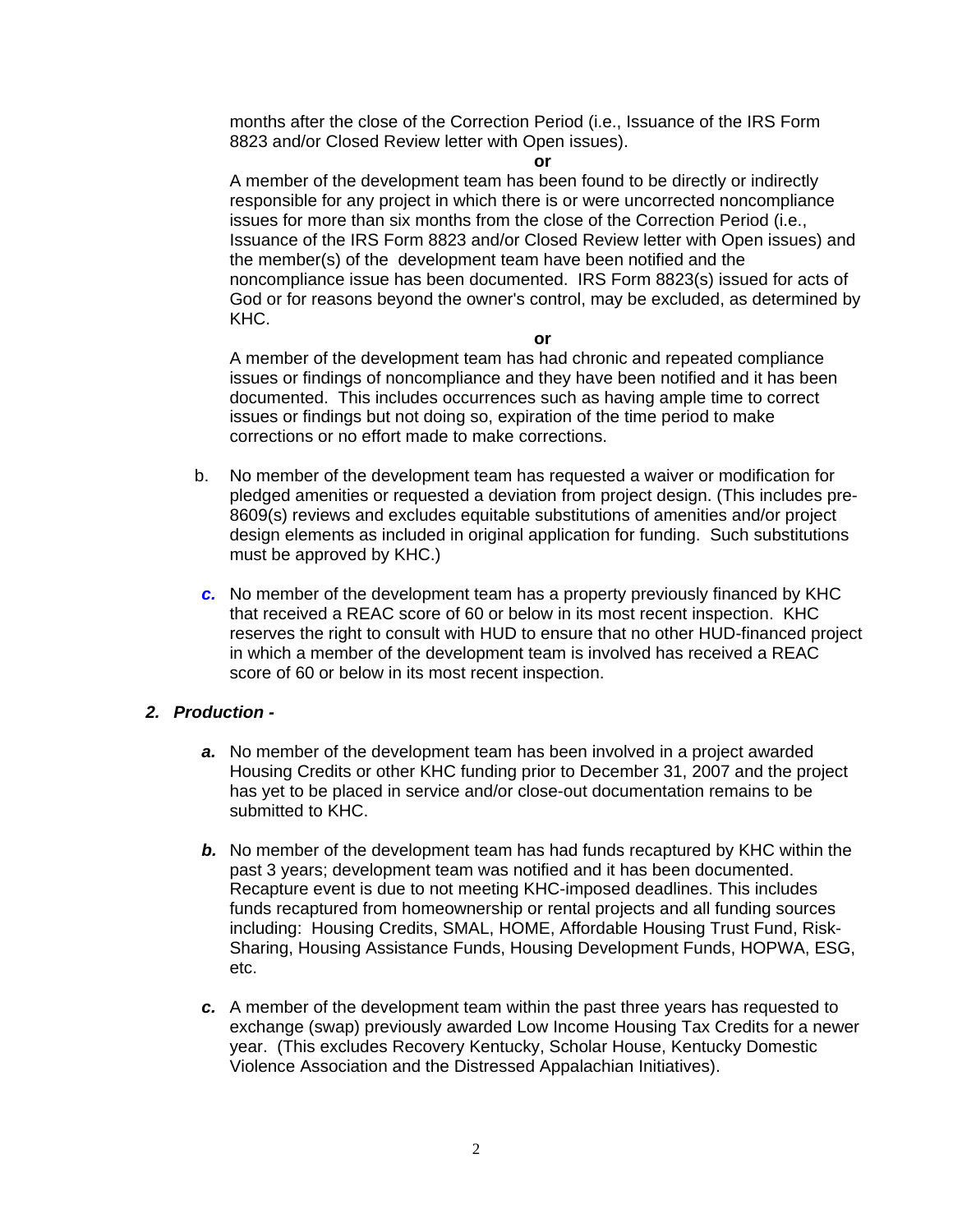months after the close of the Correction Period (i.e., Issuance of the IRS Form 8823 and/or Closed Review letter with Open issues).

#### **or**

 A member of the development team has been found to be directly or indirectly responsible for any project in which there is or were uncorrected noncompliance issues for more than six months from the close of the Correction Period (i.e., Issuance of the IRS Form 8823 and/or Closed Review letter with Open issues) and the member(s) of the development team have been notified and the noncompliance issue has been documented. IRS Form 8823(s) issued for acts of God or for reasons beyond the owner's control, may be excluded, as determined by KHC.

**or** 

 A member of the development team has had chronic and repeated compliance issues or findings of noncompliance and they have been notified and it has been documented. This includes occurrences such as having ample time to correct issues or findings but not doing so, expiration of the time period to make corrections or no effort made to make corrections.

- b. No member of the development team has requested a waiver or modification for pledged amenities or requested a deviation from project design. (This includes pre-8609(s) reviews and excludes equitable substitutions of amenities and/or project design elements as included in original application for funding. Such substitutions must be approved by KHC.)
- *c.* No member of the development team has a property previously financed by KHC that received a REAC score of 60 or below in its most recent inspection. KHC reserves the right to consult with HUD to ensure that no other HUD-financed project in which a member of the development team is involved has received a REAC score of 60 or below in its most recent inspection.

### *2. Production -*

- *a.* No member of the development team has been involved in a project awarded Housing Credits or other KHC funding prior to December 31, 2007 and the project has yet to be placed in service and/or close-out documentation remains to be submitted to KHC.
- *b.* No member of the development team has had funds recaptured by KHC within the past 3 years; development team was notified and it has been documented. Recapture event is due to not meeting KHC-imposed deadlines. This includes funds recaptured from homeownership or rental projects and all funding sources including: Housing Credits, SMAL, HOME, Affordable Housing Trust Fund, Risk-Sharing, Housing Assistance Funds, Housing Development Funds, HOPWA, ESG, etc.
- *c.* A member of the development team within the past three years has requested to exchange (swap) previously awarded Low Income Housing Tax Credits for a newer year. (This excludes Recovery Kentucky, Scholar House, Kentucky Domestic Violence Association and the Distressed Appalachian Initiatives).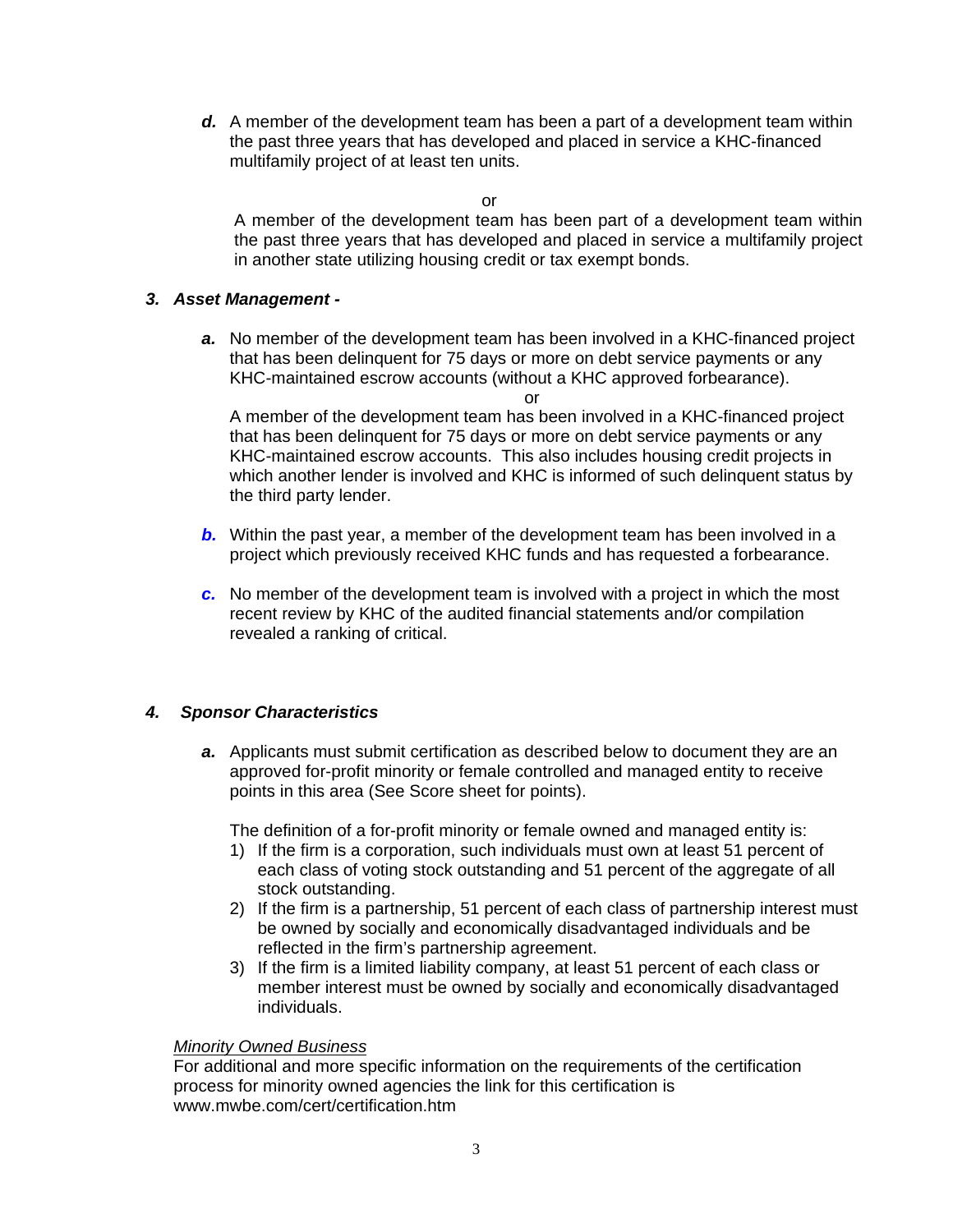*d.* A member of the development team has been a part of a development team within the past three years that has developed and placed in service a KHC-financed multifamily project of at least ten units.

or

A member of the development team has been part of a development team within the past three years that has developed and placed in service a multifamily project in another state utilizing housing credit or tax exempt bonds.

#### *3. Asset Management -*

*a.* No member of the development team has been involved in a KHC-financed project that has been delinquent for 75 days or more on debt service payments or any KHC-maintained escrow accounts (without a KHC approved forbearance).

or

A member of the development team has been involved in a KHC-financed project that has been delinquent for 75 days or more on debt service payments or any KHC-maintained escrow accounts. This also includes housing credit projects in which another lender is involved and KHC is informed of such delinquent status by the third party lender.

- *b.* Within the past year, a member of the development team has been involved in a project which previously received KHC funds and has requested a forbearance.
- *c.* No member of the development team is involved with a project in which the most recent review by KHC of the audited financial statements and/or compilation revealed a ranking of critical.

### *4. Sponsor Characteristics*

*a.* Applicants must submit certification as described below to document they are an approved for-profit minority or female controlled and managed entity to receive points in this area (See Score sheet for points).

The definition of a for-profit minority or female owned and managed entity is:

- 1) If the firm is a corporation, such individuals must own at least 51 percent of each class of voting stock outstanding and 51 percent of the aggregate of all stock outstanding.
- 2) If the firm is a partnership, 51 percent of each class of partnership interest must be owned by socially and economically disadvantaged individuals and be reflected in the firm's partnership agreement.
- 3) If the firm is a limited liability company, at least 51 percent of each class or member interest must be owned by socially and economically disadvantaged individuals.

### *Minority Owned Business*

For additional and more specific information on the requirements of the certification process for minority owned agencies the link for this certification is www.mwbe.com/cert/certification.htm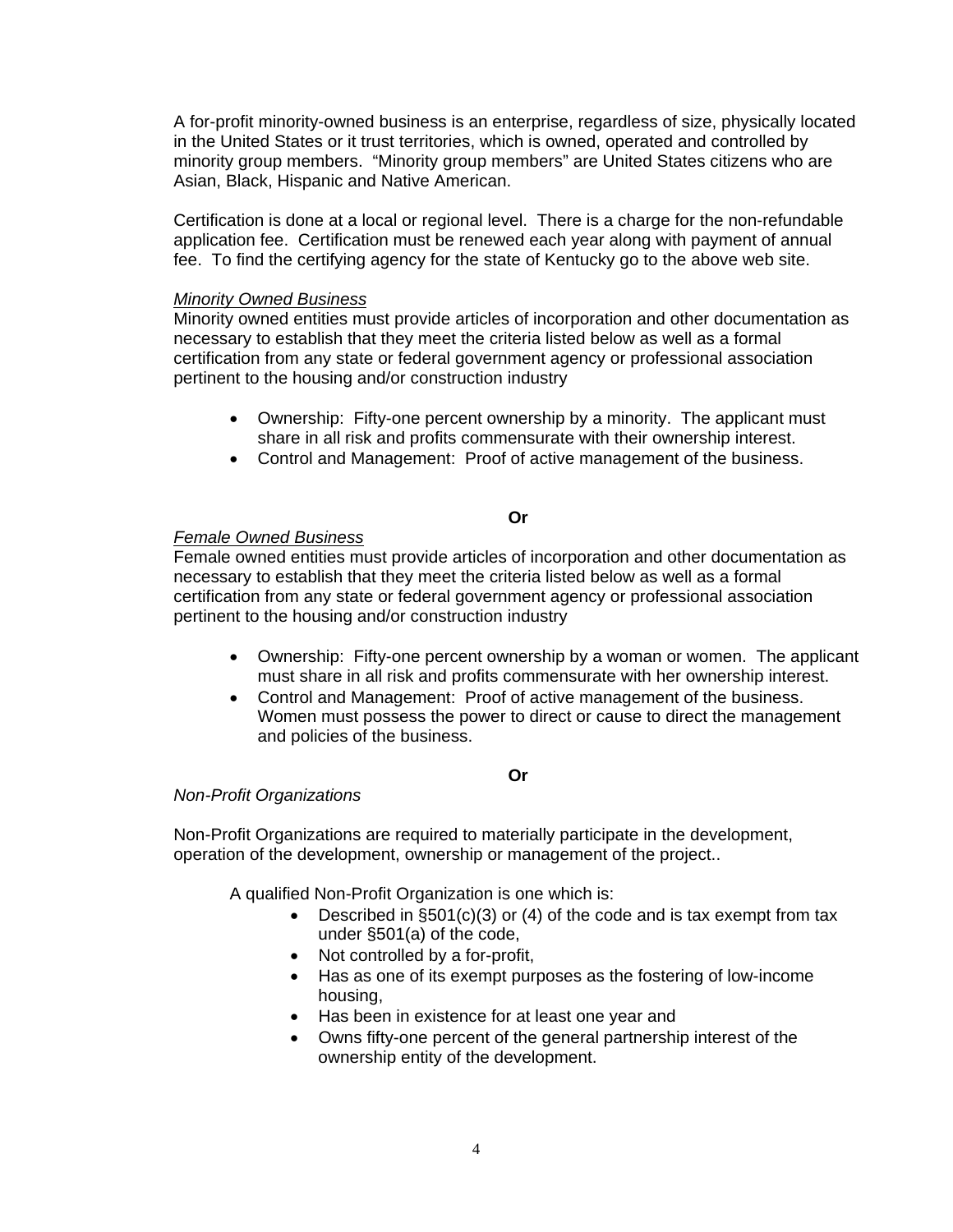A for-profit minority-owned business is an enterprise, regardless of size, physically located in the United States or it trust territories, which is owned, operated and controlled by minority group members. "Minority group members" are United States citizens who are Asian, Black, Hispanic and Native American.

Certification is done at a local or regional level. There is a charge for the non-refundable application fee. Certification must be renewed each year along with payment of annual fee. To find the certifying agency for the state of Kentucky go to the above web site.

#### *Minority Owned Business*

Minority owned entities must provide articles of incorporation and other documentation as necessary to establish that they meet the criteria listed below as well as a formal certification from any state or federal government agency or professional association pertinent to the housing and/or construction industry

- Ownership: Fifty-one percent ownership by a minority. The applicant must share in all risk and profits commensurate with their ownership interest.
- Control and Management: Proof of active management of the business.

#### **Or**

#### *Female Owned Business*

Female owned entities must provide articles of incorporation and other documentation as necessary to establish that they meet the criteria listed below as well as a formal certification from any state or federal government agency or professional association pertinent to the housing and/or construction industry

- Ownership: Fifty-one percent ownership by a woman or women. The applicant must share in all risk and profits commensurate with her ownership interest.
- Control and Management: Proof of active management of the business. Women must possess the power to direct or cause to direct the management and policies of the business.

#### **Or**

#### *Non-Profit Organizations*

Non-Profit Organizations are required to materially participate in the development, operation of the development, ownership or management of the project..

A qualified Non-Profit Organization is one which is:

- Described in §501(c)(3) or (4) of the code and is tax exempt from tax under §501(a) of the code,
- Not controlled by a for-profit,
- Has as one of its exempt purposes as the fostering of low-income housing,
- Has been in existence for at least one year and
- Owns fifty-one percent of the general partnership interest of the ownership entity of the development.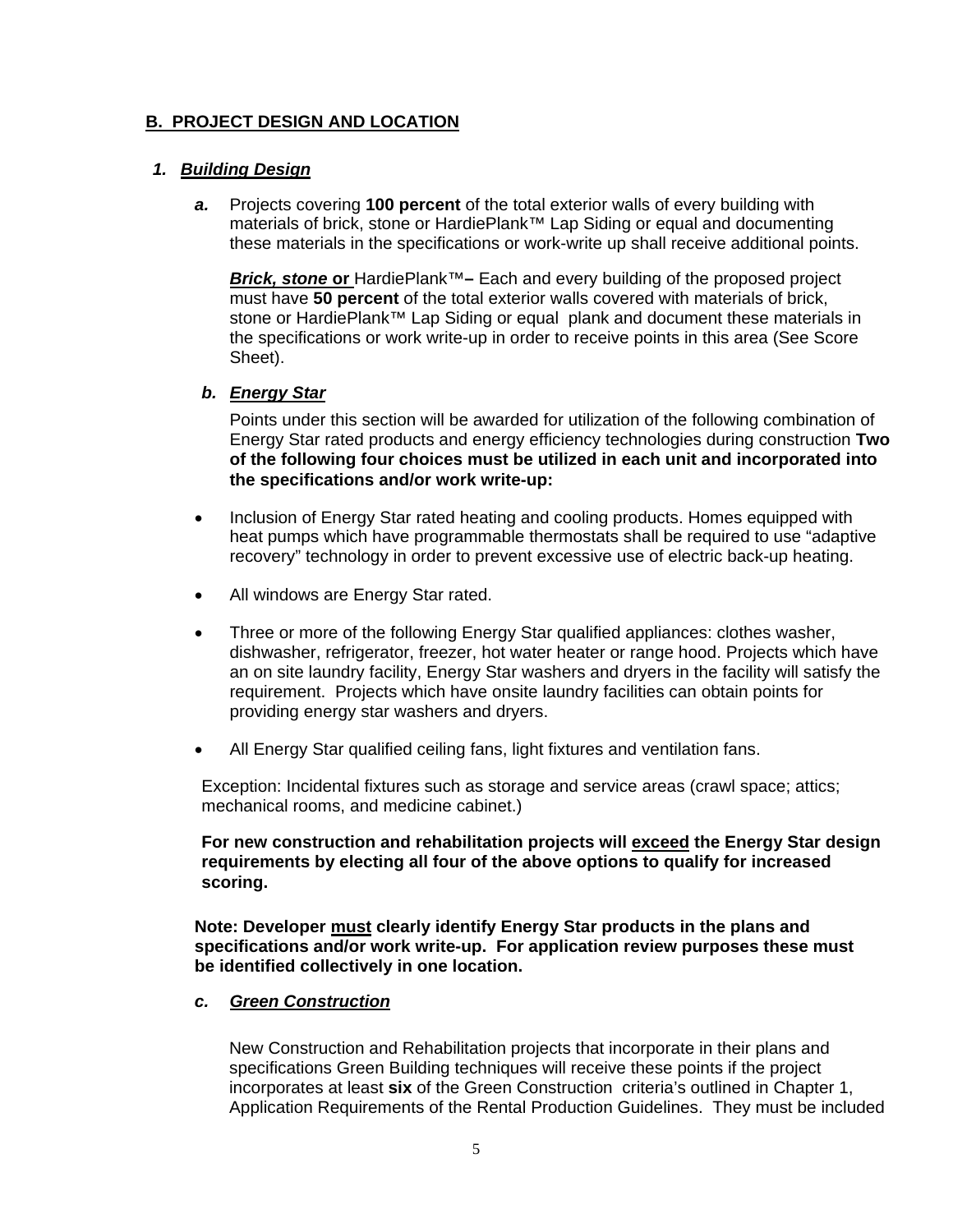### **B. PROJECT DESIGN AND LOCATION**

#### *1. Building Design*

*a.* Projects covering **100 percent** of the total exterior walls of every building with materials of brick, stone or HardiePlank™ Lap Siding or equal and documenting these materials in the specifications or work-write up shall receive additional points.

*Brick, stone* **or** HardiePlank™**–** Each and every building of the proposed project must have **50 percent** of the total exterior walls covered with materials of brick, stone or HardiePlank™ Lap Siding or equal plank and document these materials in the specifications or work write-up in order to receive points in this area (See Score Sheet).

#### *b. Energy Star*

Points under this section will be awarded for utilization of the following combination of Energy Star rated products and energy efficiency technologies during construction **Two of the following four choices must be utilized in each unit and incorporated into the specifications and/or work write-up:** 

- Inclusion of Energy Star rated heating and cooling products. Homes equipped with heat pumps which have programmable thermostats shall be required to use "adaptive recovery" technology in order to prevent excessive use of electric back-up heating.
- All windows are Energy Star rated.
- Three or more of the following Energy Star qualified appliances: clothes washer, dishwasher, refrigerator, freezer, hot water heater or range hood. Projects which have an on site laundry facility, Energy Star washers and dryers in the facility will satisfy the requirement. Projects which have onsite laundry facilities can obtain points for providing energy star washers and dryers.
- All Energy Star qualified ceiling fans, light fixtures and ventilation fans.

Exception: Incidental fixtures such as storage and service areas (crawl space; attics; mechanical rooms, and medicine cabinet.)

**For new construction and rehabilitation projects will exceed the Energy Star design requirements by electing all four of the above options to qualify for increased scoring.** 

**Note: Developer must clearly identify Energy Star products in the plans and specifications and/or work write-up. For application review purposes these must be identified collectively in one location.** 

#### *c. Green Construction*

New Construction and Rehabilitation projects that incorporate in their plans and specifications Green Building techniques will receive these points if the project incorporates at least **six** of the Green Construction criteria's outlined in Chapter 1, Application Requirements of the Rental Production Guidelines. They must be included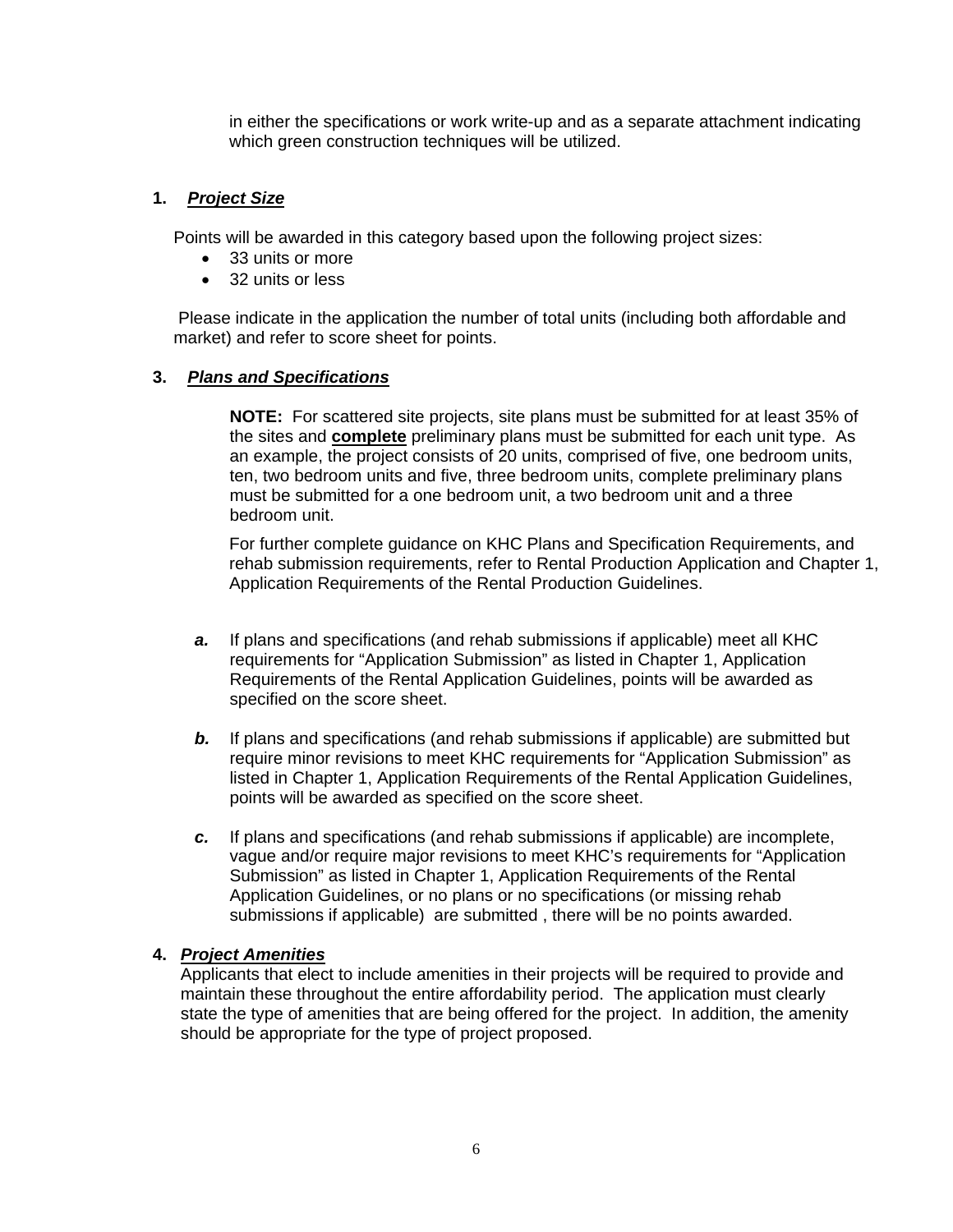in either the specifications or work write-up and as a separate attachment indicating which green construction techniques will be utilized.

### **1.** *Project Size*

Points will be awarded in this category based upon the following project sizes:

- 33 units or more
- 32 units or less

 Please indicate in the application the number of total units (including both affordable and market) and refer to score sheet for points.

#### **3.** *Plans and Specifications*

**NOTE:** For scattered site projects, site plans must be submitted for at least 35% of the sites and **complete** preliminary plans must be submitted for each unit type. As an example, the project consists of 20 units, comprised of five, one bedroom units, ten, two bedroom units and five, three bedroom units, complete preliminary plans must be submitted for a one bedroom unit, a two bedroom unit and a three bedroom unit.

For further complete guidance on KHC Plans and Specification Requirements, and rehab submission requirements, refer to Rental Production Application and Chapter 1, Application Requirements of the Rental Production Guidelines.

- *a.* If plans and specifications (and rehab submissions if applicable) meet all KHC requirements for "Application Submission" as listed in Chapter 1, Application Requirements of the Rental Application Guidelines, points will be awarded as specified on the score sheet.
- **b.** If plans and specifications (and rehab submissions if applicable) are submitted but require minor revisions to meet KHC requirements for "Application Submission" as listed in Chapter 1, Application Requirements of the Rental Application Guidelines, points will be awarded as specified on the score sheet.
- *c.* If plans and specifications (and rehab submissions if applicable) are incomplete, vague and/or require major revisions to meet KHC's requirements for "Application Submission" as listed in Chapter 1, Application Requirements of the Rental Application Guidelines, or no plans or no specifications (or missing rehab submissions if applicable) are submitted , there will be no points awarded.

### **4.** *Project Amenities*

Applicants that elect to include amenities in their projects will be required to provide and maintain these throughout the entire affordability period. The application must clearly state the type of amenities that are being offered for the project. In addition, the amenity should be appropriate for the type of project proposed.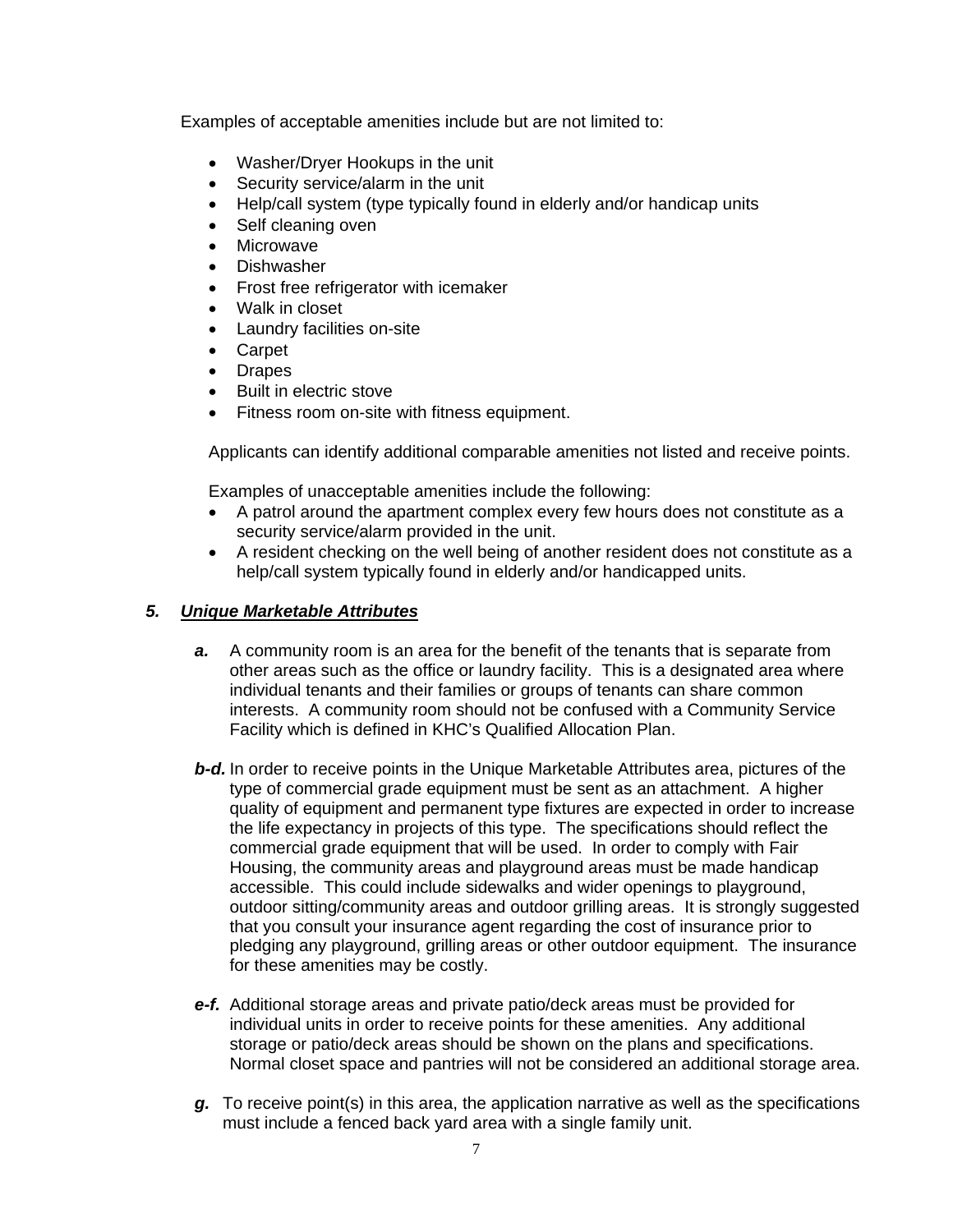Examples of acceptable amenities include but are not limited to:

- Washer/Dryer Hookups in the unit
- Security service/alarm in the unit
- Help/call system (type typically found in elderly and/or handicap units
- Self cleaning oven
- Microwave
- Dishwasher
- Frost free refrigerator with icemaker
- Walk in closet
- Laundry facilities on-site
- Carpet
- Drapes
- Built in electric stove
- Fitness room on-site with fitness equipment.

Applicants can identify additional comparable amenities not listed and receive points.

Examples of unacceptable amenities include the following:

- A patrol around the apartment complex every few hours does not constitute as a security service/alarm provided in the unit.
- A resident checking on the well being of another resident does not constitute as a help/call system typically found in elderly and/or handicapped units.

### *5. Unique Marketable Attributes*

- *a.* A community room is an area for the benefit of the tenants that is separate from other areas such as the office or laundry facility. This is a designated area where individual tenants and their families or groups of tenants can share common interests. A community room should not be confused with a Community Service Facility which is defined in KHC's Qualified Allocation Plan.
- *b-d.* In order to receive points in the Unique Marketable Attributes area, pictures of the type of commercial grade equipment must be sent as an attachment. A higher quality of equipment and permanent type fixtures are expected in order to increase the life expectancy in projects of this type. The specifications should reflect the commercial grade equipment that will be used. In order to comply with Fair Housing, the community areas and playground areas must be made handicap accessible. This could include sidewalks and wider openings to playground, outdoor sitting/community areas and outdoor grilling areas. It is strongly suggested that you consult your insurance agent regarding the cost of insurance prior to pledging any playground, grilling areas or other outdoor equipment. The insurance for these amenities may be costly.
- *e-f.* Additional storage areas and private patio/deck areas must be provided for individual units in order to receive points for these amenities. Any additional storage or patio/deck areas should be shown on the plans and specifications. Normal closet space and pantries will not be considered an additional storage area.
- *g.* To receive point(s) in this area, the application narrative as well as the specifications must include a fenced back yard area with a single family unit.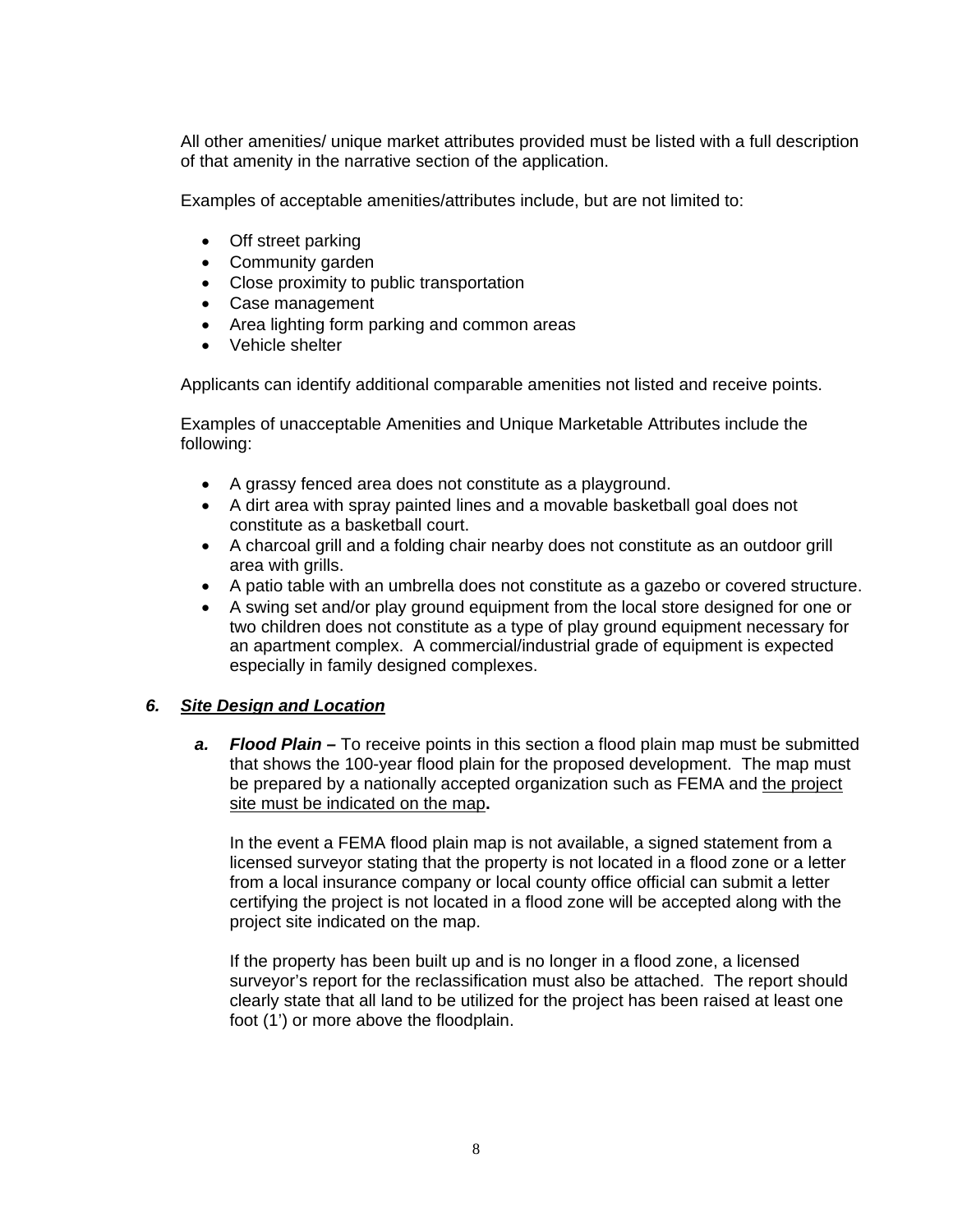All other amenities/ unique market attributes provided must be listed with a full description of that amenity in the narrative section of the application.

Examples of acceptable amenities/attributes include, but are not limited to:

- Off street parking
- Community garden
- Close proximity to public transportation
- Case management
- Area lighting form parking and common areas
- Vehicle shelter

Applicants can identify additional comparable amenities not listed and receive points.

Examples of unacceptable Amenities and Unique Marketable Attributes include the following:

- A grassy fenced area does not constitute as a playground.
- A dirt area with spray painted lines and a movable basketball goal does not constitute as a basketball court.
- A charcoal grill and a folding chair nearby does not constitute as an outdoor grill area with grills.
- A patio table with an umbrella does not constitute as a gazebo or covered structure.
- A swing set and/or play ground equipment from the local store designed for one or two children does not constitute as a type of play ground equipment necessary for an apartment complex. A commercial/industrial grade of equipment is expected especially in family designed complexes.

# *6. Site Design and Location*

*a. Flood Plain –* To receive points in this section a flood plain map must be submitted that shows the 100-year flood plain for the proposed development. The map must be prepared by a nationally accepted organization such as FEMA and the project site must be indicated on the map**.** 

In the event a FEMA flood plain map is not available, a signed statement from a licensed surveyor stating that the property is not located in a flood zone or a letter from a local insurance company or local county office official can submit a letter certifying the project is not located in a flood zone will be accepted along with the project site indicated on the map.

If the property has been built up and is no longer in a flood zone, a licensed surveyor's report for the reclassification must also be attached. The report should clearly state that all land to be utilized for the project has been raised at least one foot (1') or more above the floodplain.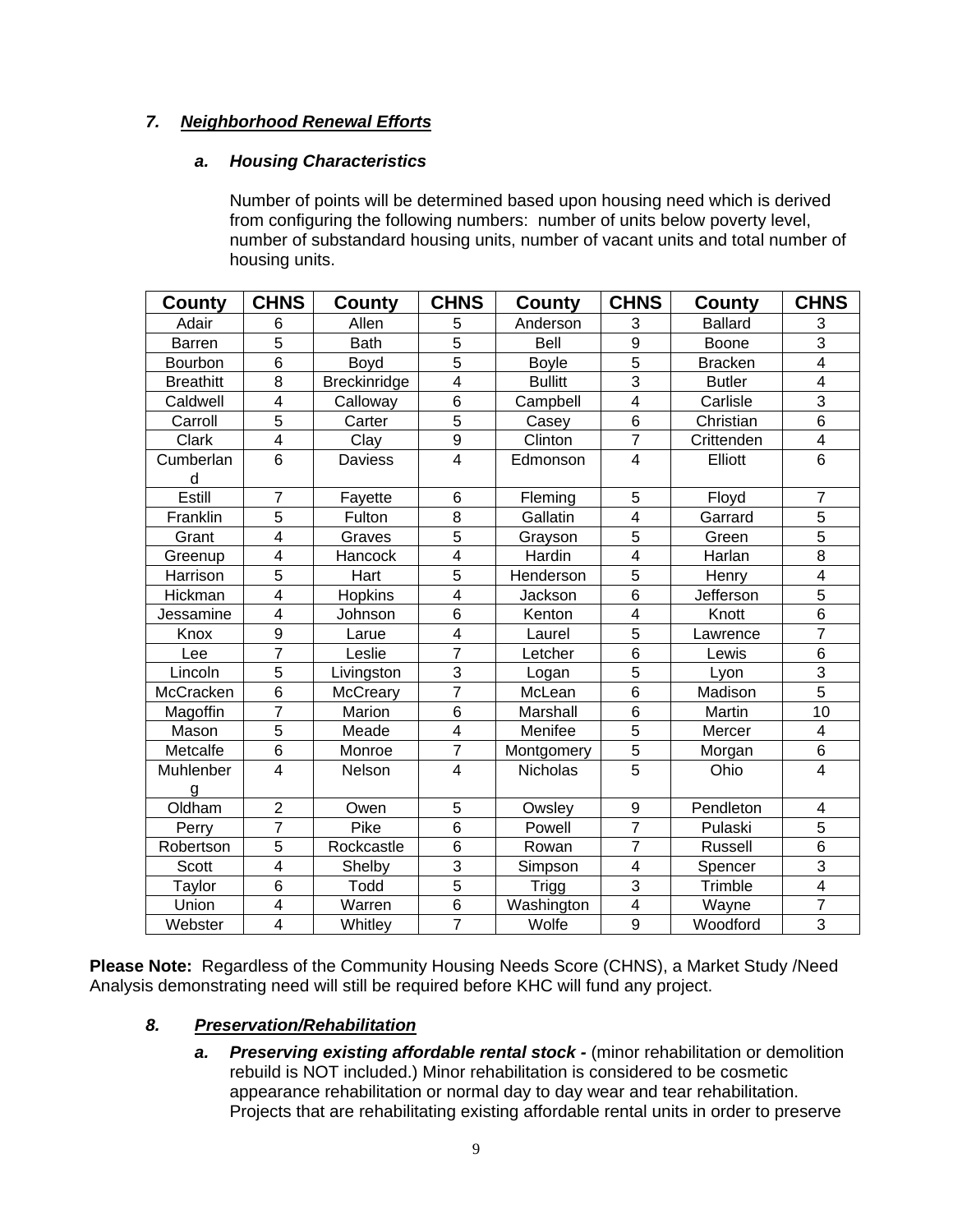# *7. Neighborhood Renewal Efforts*

### *a. Housing Characteristics*

Number of points will be determined based upon housing need which is derived from configuring the following numbers: number of units below poverty level, number of substandard housing units, number of vacant units and total number of housing units.

| County           | <b>CHNS</b>              | County       | <b>CHNS</b>             | County         | <b>CHNS</b>             | County           | <b>CHNS</b>              |
|------------------|--------------------------|--------------|-------------------------|----------------|-------------------------|------------------|--------------------------|
| Adair            | 6                        | Allen        | 5                       | Anderson       | 3                       | <b>Ballard</b>   | $\mathbf{3}$             |
| <b>Barren</b>    | $\overline{5}$           | <b>Bath</b>  | $\overline{5}$          | Bell           | $\overline{9}$          | Boone            | $\overline{3}$           |
| Bourbon          | 6                        | Boyd         | $\overline{5}$          | <b>Boyle</b>   | $\overline{5}$          | <b>Bracken</b>   | $\overline{\mathbf{4}}$  |
| <b>Breathitt</b> | 8                        | Breckinridge | $\overline{\mathbf{4}}$ | <b>Bullitt</b> | $\overline{3}$          | <b>Butler</b>    | $\overline{\mathbf{4}}$  |
| Caldwell         | 4                        | Calloway     | $\overline{6}$          | Campbell       | $\overline{4}$          | Carlisle         | $\overline{3}$           |
| Carroll          | $\overline{5}$           | Carter       | $\overline{5}$          | Casey          | $\overline{6}$          | Christian        | $\overline{6}$           |
| Clark            | $\overline{\mathcal{A}}$ | Clay         | 9                       | Clinton        | $\overline{7}$          | Crittenden       | $\overline{\mathbf{4}}$  |
| Cumberlan        | $\overline{6}$           | Daviess      | $\overline{4}$          | Edmonson       | $\overline{\mathbf{4}}$ | Elliott          | $6\phantom{1}$           |
| d                |                          |              |                         |                |                         |                  |                          |
| Estill           | $\overline{7}$           | Fayette      | $6\phantom{1}6$         | Fleming        | 5                       | Floyd            | $\overline{7}$           |
| Franklin         | $\overline{5}$           | Fulton       | $\overline{8}$          | Gallatin       | $\overline{4}$          | Garrard          | $\overline{5}$           |
| Grant            | $\overline{4}$           | Graves       | $\overline{5}$          | Grayson        | $\overline{5}$          | Green            | $\overline{5}$           |
| Greenup          | $\overline{\mathbf{4}}$  | Hancock      | $\overline{\mathbf{4}}$ | Hardin         | $\overline{4}$          | Harlan           | $\overline{8}$           |
| Harrison         | 5                        | Hart         | 5                       | Henderson      | $\overline{5}$          | Henry            | $\overline{\mathcal{A}}$ |
| Hickman          | $\overline{4}$           | Hopkins      | $\overline{4}$          | Jackson        | $\overline{6}$          | <b>Jefferson</b> | $\overline{5}$           |
| Jessamine        | $\overline{\mathbf{4}}$  | Johnson      | $6\phantom{1}$          | Kenton         | 4                       | Knott            | 6                        |
| Knox             | $\overline{9}$           | Larue        | $\overline{\mathbf{4}}$ | Laurel         | $\overline{5}$          | Lawrence         | $\overline{7}$           |
| Lee              | $\overline{7}$           | Leslie       | $\overline{7}$          | Letcher        | $\overline{6}$          | Lewis            | 6                        |
| Lincoln          | $\overline{5}$           | Livingston   | 3                       | Logan          | $\overline{5}$          | Lyon             | $\overline{3}$           |
| McCracken        | $6\phantom{1}$           | McCreary     | $\overline{7}$          | McLean         | $\overline{6}$          | Madison          | $\overline{5}$           |
| Magoffin         | $\overline{7}$           | Marion       | $\overline{6}$          | Marshall       | $\overline{6}$          | Martin           | 10                       |
| Mason            | 5                        | Meade        | $\overline{\mathbf{4}}$ | Menifee        | $\overline{5}$          | Mercer           | $\overline{\mathbf{4}}$  |
| Metcalfe         | 6                        | Monroe       | $\overline{7}$          | Montgomery     | $\overline{5}$          | Morgan           | 6                        |
| Muhlenber        | $\overline{4}$           | Nelson       | $\overline{4}$          | Nicholas       | $\overline{5}$          | Ohio             | $\overline{4}$           |
| g                |                          |              |                         |                |                         |                  |                          |
| Oldham           | $\overline{c}$           | Owen         | 5                       | Owsley         | 9                       | Pendleton        | 4                        |
| Perry            | $\overline{7}$           | Pike         | $\overline{6}$          | Powell         | $\overline{7}$          | Pulaski          | $\overline{5}$           |
| Robertson        | $\overline{5}$           | Rockcastle   | $\overline{6}$          | Rowan          | $\overline{7}$          | <b>Russell</b>   | $\overline{6}$           |
| Scott            | $\overline{4}$           | Shelby       | 3                       | Simpson        | 4                       | Spencer          | $\overline{3}$           |
| Taylor           | 6                        | Todd         | 5                       | <b>Trigg</b>   | $\overline{3}$          | Trimble          | $\overline{\mathbf{4}}$  |
| Union            | $\overline{4}$           | Warren       | $\overline{6}$          | Washington     | $\overline{4}$          | Wayne            | $\overline{7}$           |
| Webster          | $\overline{\mathbf{4}}$  | Whitley      | $\overline{7}$          | Wolfe          | $\overline{9}$          | Woodford         | 3                        |

**Please Note:** Regardless of the Community Housing Needs Score (CHNS), a Market Study /Need Analysis demonstrating need will still be required before KHC will fund any project.

# *8. Preservation/Rehabilitation*

a. Preserving existing affordable rental stock - (minor rehabilitation or demolition rebuild is NOT included.) Minor rehabilitation is considered to be cosmetic appearance rehabilitation or normal day to day wear and tear rehabilitation. Projects that are rehabilitating existing affordable rental units in order to preserve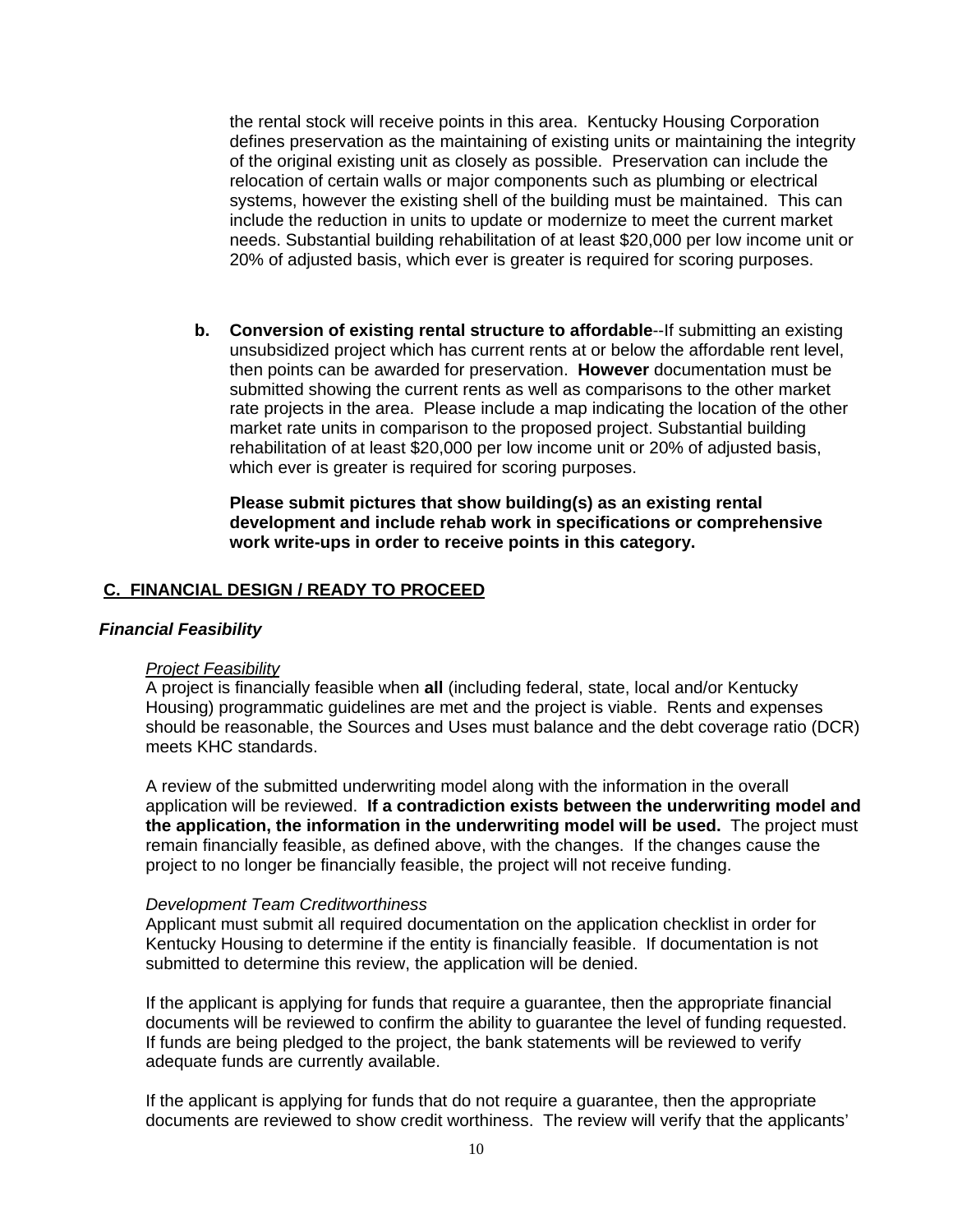the rental stock will receive points in this area. Kentucky Housing Corporation defines preservation as the maintaining of existing units or maintaining the integrity of the original existing unit as closely as possible. Preservation can include the relocation of certain walls or major components such as plumbing or electrical systems, however the existing shell of the building must be maintained. This can include the reduction in units to update or modernize to meet the current market needs. Substantial building rehabilitation of at least \$20,000 per low income unit or 20% of adjusted basis, which ever is greater is required for scoring purposes.

**b. Conversion of existing rental structure to affordable**--If submitting an existing unsubsidized project which has current rents at or below the affordable rent level, then points can be awarded for preservation. **However** documentation must be submitted showing the current rents as well as comparisons to the other market rate projects in the area. Please include a map indicating the location of the other market rate units in comparison to the proposed project. Substantial building rehabilitation of at least \$20,000 per low income unit or 20% of adjusted basis, which ever is greater is required for scoring purposes.

**Please submit pictures that show building(s) as an existing rental development and include rehab work in specifications or comprehensive work write-ups in order to receive points in this category.** 

#### **C. FINANCIAL DESIGN / READY TO PROCEED**

#### *Financial Feasibility*

#### *Project Feasibility*

A project is financially feasible when **all** (including federal, state, local and/or Kentucky Housing) programmatic guidelines are met and the project is viable. Rents and expenses should be reasonable, the Sources and Uses must balance and the debt coverage ratio (DCR) meets KHC standards.

A review of the submitted underwriting model along with the information in the overall application will be reviewed. **If a contradiction exists between the underwriting model and the application, the information in the underwriting model will be used.** The project must remain financially feasible, as defined above, with the changes. If the changes cause the project to no longer be financially feasible, the project will not receive funding.

#### *Development Team Creditworthiness*

Applicant must submit all required documentation on the application checklist in order for Kentucky Housing to determine if the entity is financially feasible. If documentation is not submitted to determine this review, the application will be denied.

If the applicant is applying for funds that require a guarantee, then the appropriate financial documents will be reviewed to confirm the ability to guarantee the level of funding requested. If funds are being pledged to the project, the bank statements will be reviewed to verify adequate funds are currently available.

If the applicant is applying for funds that do not require a guarantee, then the appropriate documents are reviewed to show credit worthiness. The review will verify that the applicants'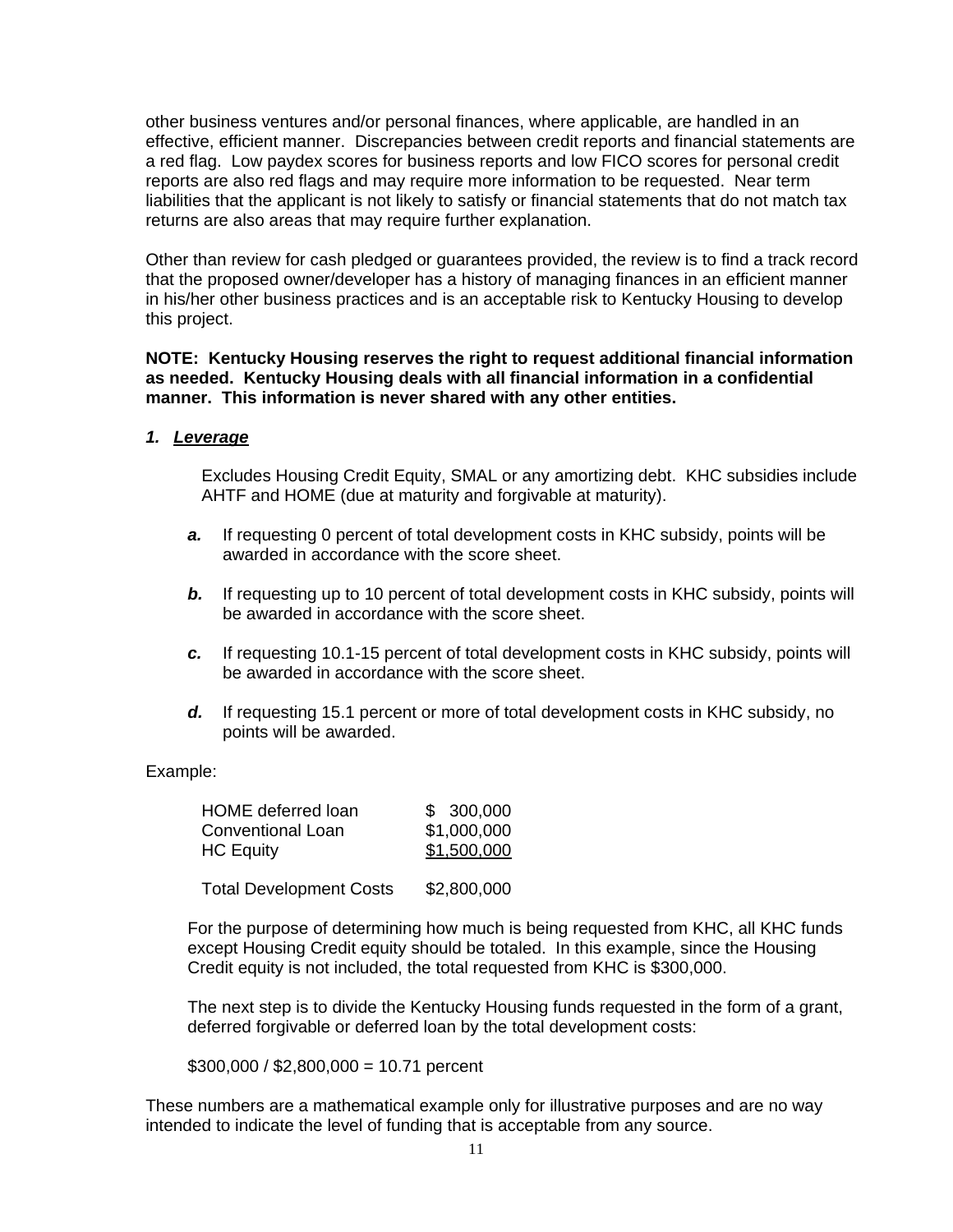other business ventures and/or personal finances, where applicable, are handled in an effective, efficient manner. Discrepancies between credit reports and financial statements are a red flag. Low paydex scores for business reports and low FICO scores for personal credit reports are also red flags and may require more information to be requested. Near term liabilities that the applicant is not likely to satisfy or financial statements that do not match tax returns are also areas that may require further explanation.

Other than review for cash pledged or guarantees provided, the review is to find a track record that the proposed owner/developer has a history of managing finances in an efficient manner in his/her other business practices and is an acceptable risk to Kentucky Housing to develop this project.

#### **NOTE: Kentucky Housing reserves the right to request additional financial information as needed. Kentucky Housing deals with all financial information in a confidential manner. This information is never shared with any other entities.**

### *1. Leverage*

Excludes Housing Credit Equity, SMAL or any amortizing debt. KHC subsidies include AHTF and HOME (due at maturity and forgivable at maturity).

- *a.* If requesting 0 percent of total development costs in KHC subsidy, points will be awarded in accordance with the score sheet.
- **b.** If requesting up to 10 percent of total development costs in KHC subsidy, points will be awarded in accordance with the score sheet.
- *c.* If requesting 10.1-15 percent of total development costs in KHC subsidy, points will be awarded in accordance with the score sheet.
- *d.* If requesting 15.1 percent or more of total development costs in KHC subsidy, no points will be awarded.

#### Example:

| <b>HOME</b> deferred loan | \$300,000   |
|---------------------------|-------------|
| Conventional Loan         | \$1,000,000 |
| <b>HC Equity</b>          | \$1,500,000 |

Total Development Costs \$2,800,000

For the purpose of determining how much is being requested from KHC, all KHC funds except Housing Credit equity should be totaled. In this example, since the Housing Credit equity is not included, the total requested from KHC is \$300,000.

The next step is to divide the Kentucky Housing funds requested in the form of a grant, deferred forgivable or deferred loan by the total development costs:

 $$300,000 / $2,800,000 = 10.71$  percent

These numbers are a mathematical example only for illustrative purposes and are no way intended to indicate the level of funding that is acceptable from any source.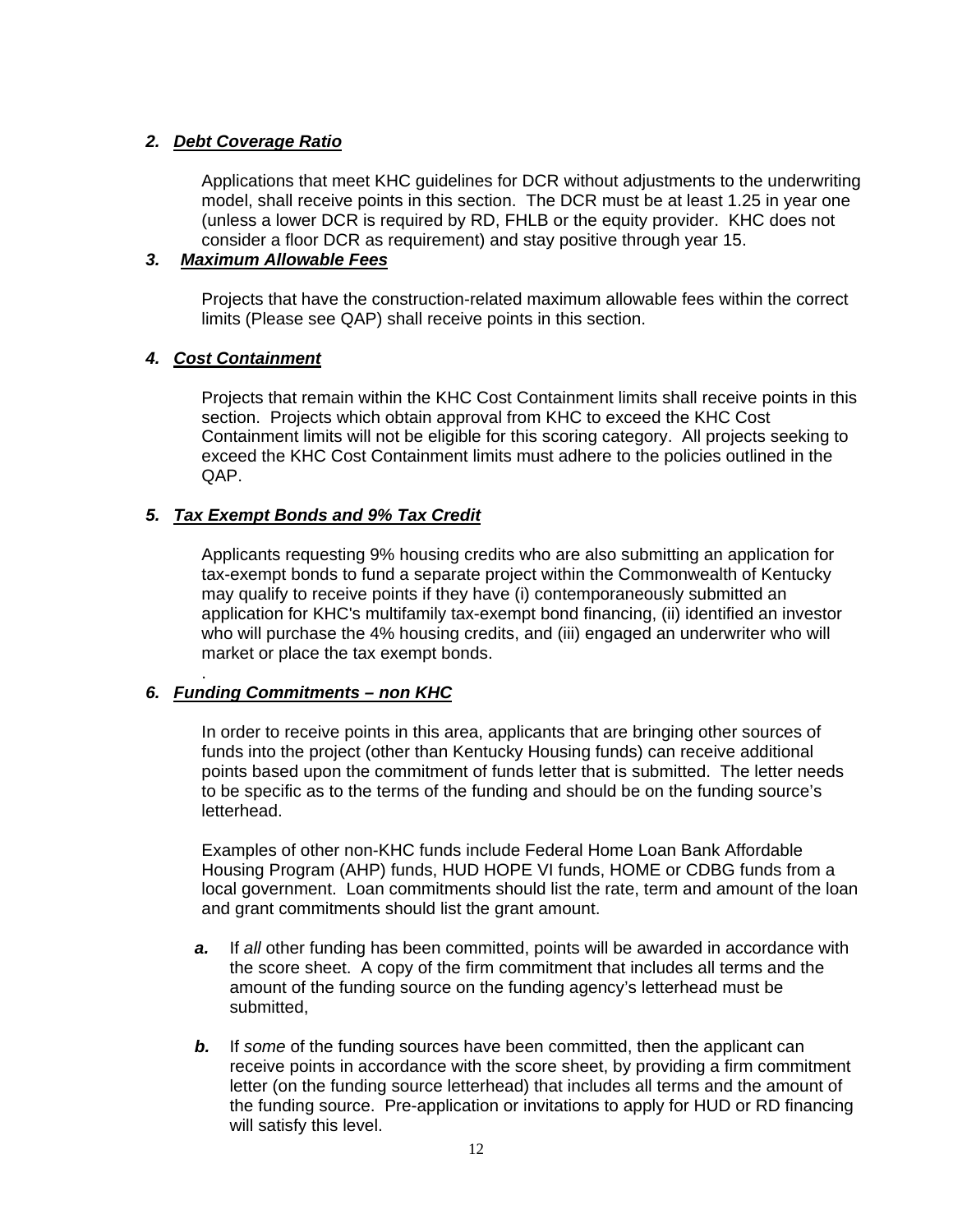### *2. Debt Coverage Ratio*

Applications that meet KHC guidelines for DCR without adjustments to the underwriting model, shall receive points in this section. The DCR must be at least 1.25 in year one (unless a lower DCR is required by RD, FHLB or the equity provider. KHC does not consider a floor DCR as requirement) and stay positive through year 15.

### *3. Maximum Allowable Fees*

Projects that have the construction-related maximum allowable fees within the correct limits (Please see QAP) shall receive points in this section.

# *4. Cost Containment*

Projects that remain within the KHC Cost Containment limits shall receive points in this section. Projects which obtain approval from KHC to exceed the KHC Cost Containment limits will not be eligible for this scoring category. All projects seeking to exceed the KHC Cost Containment limits must adhere to the policies outlined in the QAP.

### *5. Tax Exempt Bonds and 9% Tax Credit*

Applicants requesting 9% housing credits who are also submitting an application for tax-exempt bonds to fund a separate project within the Commonwealth of Kentucky may qualify to receive points if they have (i) contemporaneously submitted an application for KHC's multifamily tax-exempt bond financing, (ii) identified an investor who will purchase the 4% housing credits, and (iii) engaged an underwriter who will market or place the tax exempt bonds.

#### . *6. Funding Commitments – non KHC*

In order to receive points in this area, applicants that are bringing other sources of funds into the project (other than Kentucky Housing funds) can receive additional points based upon the commitment of funds letter that is submitted. The letter needs to be specific as to the terms of the funding and should be on the funding source's letterhead.

Examples of other non-KHC funds include Federal Home Loan Bank Affordable Housing Program (AHP) funds, HUD HOPE VI funds, HOME or CDBG funds from a local government. Loan commitments should list the rate, term and amount of the loan and grant commitments should list the grant amount.

- **a.** If all other funding has been committed, points will be awarded in accordance with the score sheet. A copy of the firm commitment that includes all terms and the amount of the funding source on the funding agency's letterhead must be submitted,
- **b.** If some of the funding sources have been committed, then the applicant can receive points in accordance with the score sheet, by providing a firm commitment letter (on the funding source letterhead) that includes all terms and the amount of the funding source. Pre-application or invitations to apply for HUD or RD financing will satisfy this level.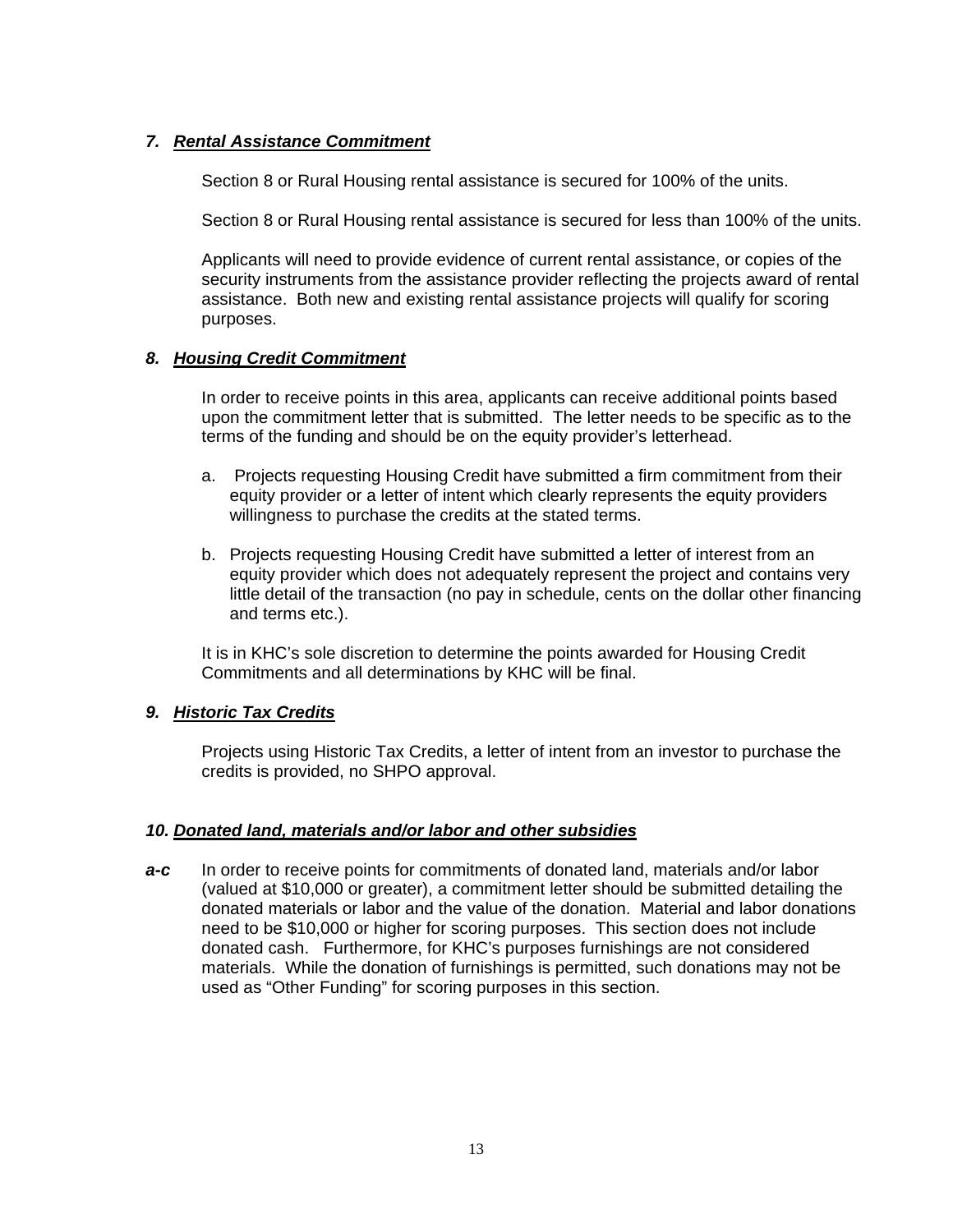### *7. Rental Assistance Commitment*

Section 8 or Rural Housing rental assistance is secured for 100% of the units.

Section 8 or Rural Housing rental assistance is secured for less than 100% of the units.

Applicants will need to provide evidence of current rental assistance, or copies of the security instruments from the assistance provider reflecting the projects award of rental assistance. Both new and existing rental assistance projects will qualify for scoring purposes.

### *8. Housing Credit Commitment*

In order to receive points in this area, applicants can receive additional points based upon the commitment letter that is submitted. The letter needs to be specific as to the terms of the funding and should be on the equity provider's letterhead.

- a. Projects requesting Housing Credit have submitted a firm commitment from their equity provider or a letter of intent which clearly represents the equity providers willingness to purchase the credits at the stated terms.
- b. Projects requesting Housing Credit have submitted a letter of interest from an equity provider which does not adequately represent the project and contains very little detail of the transaction (no pay in schedule, cents on the dollar other financing and terms etc.).

It is in KHC's sole discretion to determine the points awarded for Housing Credit Commitments and all determinations by KHC will be final.

### *9. Historic Tax Credits*

Projects using Historic Tax Credits, a letter of intent from an investor to purchase the credits is provided, no SHPO approval.

#### *10. Donated land, materials and/or labor and other subsidies*

*a-c* In order to receive points for commitments of donated land, materials and/or labor (valued at \$10,000 or greater), a commitment letter should be submitted detailing the donated materials or labor and the value of the donation. Material and labor donations need to be \$10,000 or higher for scoring purposes. This section does not include donated cash. Furthermore, for KHC's purposes furnishings are not considered materials. While the donation of furnishings is permitted, such donations may not be used as "Other Funding" for scoring purposes in this section.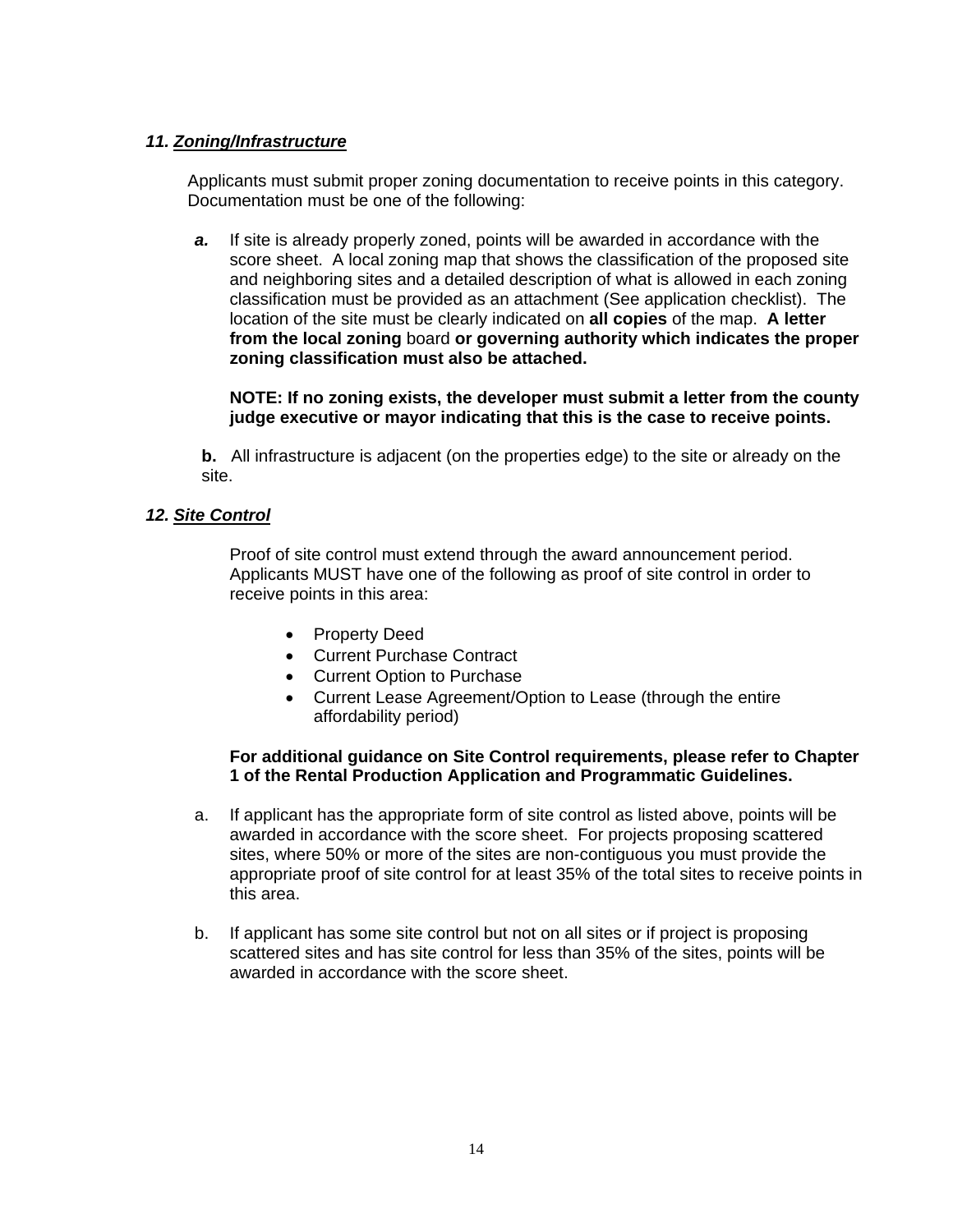### *11. Zoning/Infrastructure*

Applicants must submit proper zoning documentation to receive points in this category. Documentation must be one of the following:

*a.* If site is already properly zoned, points will be awarded in accordance with the score sheet. A local zoning map that shows the classification of the proposed site and neighboring sites and a detailed description of what is allowed in each zoning classification must be provided as an attachment (See application checklist). The location of the site must be clearly indicated on **all copies** of the map. **A letter from the local zoning** board **or governing authority which indicates the proper zoning classification must also be attached.**

**NOTE: If no zoning exists, the developer must submit a letter from the county judge executive or mayor indicating that this is the case to receive points.** 

**b.** All infrastructure is adjacent (on the properties edge) to the site or already on the site.

### *12. Site Control*

Proof of site control must extend through the award announcement period. Applicants MUST have one of the following as proof of site control in order to receive points in this area:

- Property Deed
- Current Purchase Contract
- Current Option to Purchase
- Current Lease Agreement/Option to Lease (through the entire affordability period)

#### **For additional guidance on Site Control requirements, please refer to Chapter 1 of the Rental Production Application and Programmatic Guidelines.**

- a. If applicant has the appropriate form of site control as listed above, points will be awarded in accordance with the score sheet. For projects proposing scattered sites, where 50% or more of the sites are non-contiguous you must provide the appropriate proof of site control for at least 35% of the total sites to receive points in this area.
- b. If applicant has some site control but not on all sites or if project is proposing scattered sites and has site control for less than 35% of the sites, points will be awarded in accordance with the score sheet.